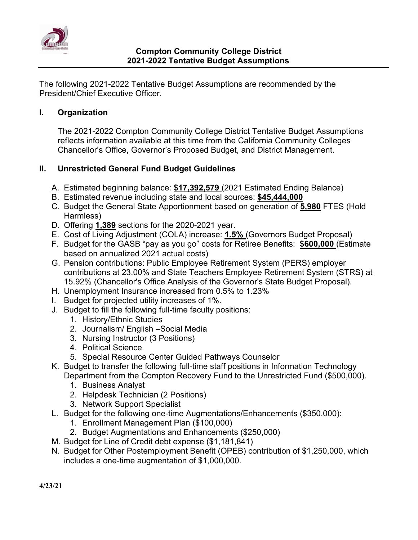

The following 2021-2022 Tentative Budget Assumptions are recommended by the President/Chief Executive Officer.

## **I. Organization**

The 2021-2022 Compton Community College District Tentative Budget Assumptions reflects information available at this time from the California Community Colleges Chancellor's Office, Governor's Proposed Budget, and District Management.

## **II. Unrestricted General Fund Budget Guidelines**

- A. Estimated beginning balance: **\$17,392,579** (2021 Estimated Ending Balance)
- B. Estimated revenue including state and local sources: **\$45,444,000**
- C. Budget the General State Apportionment based on generation of **5,980** FTES (Hold Harmless)
- D. Offering **1,389** sections for the 2020-2021 year.
- E. Cost of Living Adjustment (COLA) increase: **1.5%** (Governors Budget Proposal)
- F. Budget for the GASB "pay as you go" costs for Retiree Benefits: **\$600,000** (Estimate based on annualized 2021 actual costs)
- G. Pension contributions: Public Employee Retirement System (PERS) employer contributions at 23.00% and State Teachers Employee Retirement System (STRS) at 15.92% (Chancellor's Office Analysis of the Governor's State Budget Proposal).
- H. Unemployment Insurance increased from 0.5% to 1.23%
- I. Budget for projected utility increases of 1%.
- J. Budget to fill the following full-time faculty positions:
	- 1. History/Ethnic Studies
	- 2. Journalism/ English –Social Media
	- 3. Nursing Instructor (3 Positions)
	- 4. Political Science
	- 5. Special Resource Center Guided Pathways Counselor
- K. Budget to transfer the following full-time staff positions in Information Technology Department from the Compton Recovery Fund to the Unrestricted Fund (\$500,000).
	- 1. Business Analyst
	- 2. Helpdesk Technician (2 Positions)
	- 3. Network Support Specialist
- L. Budget for the following one-time Augmentations/Enhancements (\$350,000):
	- 1. Enrollment Management Plan (\$100,000)
	- 2. Budget Augmentations and Enhancements (\$250,000)
- M. Budget for Line of Credit debt expense (\$1,181,841)
- N. Budget for Other Postemployment Benefit (OPEB) contribution of \$1,250,000, which includes a one-time augmentation of \$1,000,000.